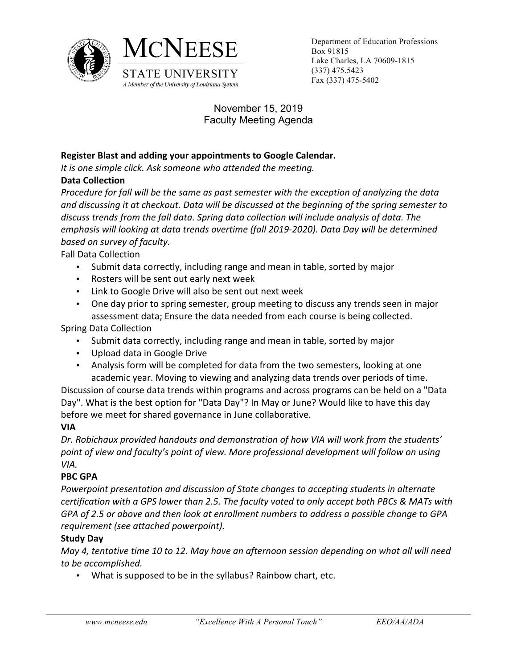



MCNEESE Department of Education Professions Box 91815 Lake Charles, LA 70609-1815 (337) 475.5423

> November 15, 2019 Faculty Meeting Agenda

### **Register Blast and adding your appointments to Google Calendar.**

It is one simple click. Ask someone who attended the meeting.

## **Data Collection**

*Procedure for fall will be the same as past semester with the exception of analyzing the data* and discussing it at checkout. Data will be discussed at the beginning of the spring semester to discuss trends from the fall data. Spring data collection will include analysis of data. The *emphasis* will looking at data trends overtime (fall 2019-2020). Data Day will be determined *based on survey of faculty.*

Fall Data Collection

- Submit data correctly, including range and mean in table, sorted by major
- Rosters will be sent out early next week
- Link to Google Drive will also be sent out next week
- One day prior to spring semester, group meeting to discuss any trends seen in major assessment data; Ensure the data needed from each course is being collected.

Spring Data Collection

- Submit data correctly, including range and mean in table, sorted by major
- Upload data in Google Drive
- Analysis form will be completed for data from the two semesters, looking at one academic year. Moving to viewing and analyzing data trends over periods of time.

Discussion of course data trends within programs and across programs can be held on a "Data Day". What is the best option for "Data Day"? In May or June? Would like to have this day before we meet for shared governance in June collaborative.

# **VIA**

Dr. Robichaux provided handouts and demonstration of how VIA will work from the students' point of view and faculty's point of view. More professional development will follow on using *VIA.*

### **PBC GPA**

*Powerpoint presentation and discussion of State changes to accepting students in alternate certification with a GPS lower than 2.5. The faculty voted to only accept both PBCs & MATs with GPA* of 2.5 or above and then look at enrollment numbers to address a possible change to GPA *requirement (see attached powerpoint).*

# **Study Day**

*May 4, tentative time 10 to 12. May have an afternoon session depending on what all will need to be accomplished.*

• What is supposed to be in the syllabus? Rainbow chart, etc.